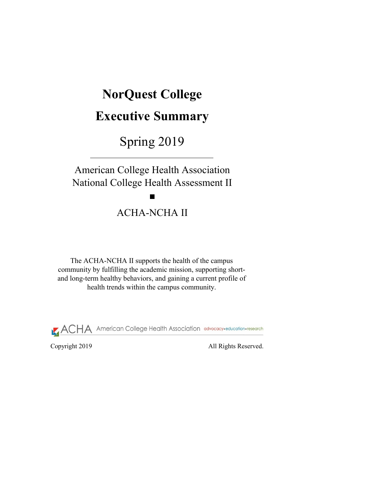Copyright 2019 All Rights Reserved.

# **NorQuest College**

# **Executive Summary**

Spring 2019

The ACHA-NCHA II supports the health of the campus community by fulfilling the academic mission, supporting shortand long-term healthy behaviors, and gaining a current profile of health trends within the campus community.



American College Health Association National College Health Assessment II

# ACHA-NCHA II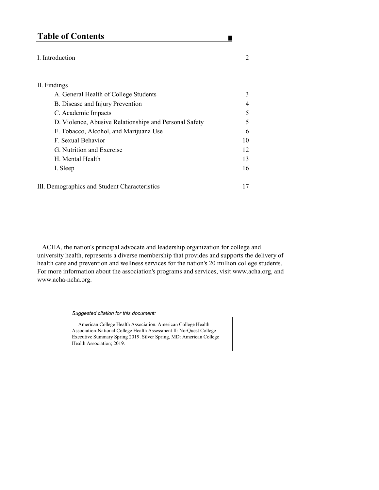# **Table of Contents**

#### I. Introduction 2

#### II. Findings

| A. General Health of College Students                  | 3              |
|--------------------------------------------------------|----------------|
| B. Disease and Injury Prevention                       | $\overline{4}$ |
| C. Academic Impacts                                    | 5              |
| D. Violence, Abusive Relationships and Personal Safety | 5              |
| E. Tobacco, Alcohol, and Marijuana Use                 | 6              |
| F. Sexual Behavior                                     | 10             |
| G. Nutrition and Exercise                              | 12             |
| H. Mental Health                                       | 13             |
| I. Sleep                                               | 16             |
|                                                        |                |

III. Demographics and Student Characteristics 17

Association-National College Health Assessment II: NorQuest College Executive Summary Spring 2019. Silver Spring, MD: American College Health Association; 2019.

*Suggested citation for this document:* 

American College Health Association. American College Health

п

 ACHA, the nation's principal advocate and leadership organization for college and university health, represents a diverse membership that provides and supports the delivery of health care and prevention and wellness services for the nation's 20 million college students. For more information about the association's programs and services, visit www.acha.org, and www.acha-ncha.org.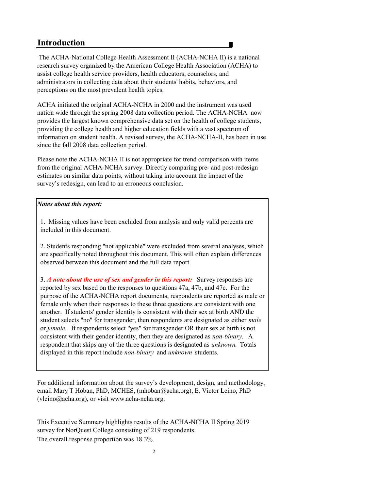## **Introduction**

#### *Notes about this report:*

2

 The ACHA-National College Health Assessment II (ACHA-NCHA II) is a national research survey organized by the American College Health Association (ACHA) to assist college health service providers, health educators, counselors, and administrators in collecting data about their students' habits, behaviors, and perceptions on the most prevalent health topics.

ACHA initiated the original ACHA-NCHA in 2000 and the instrument was used nation wide through the spring 2008 data collection period. The ACHA-NCHA now provides the largest known comprehensive data set on the health of college students, providing the college health and higher education fields with a vast spectrum of information on student health. A revised survey, the ACHA-NCHA-II, has been in use since the fall 2008 data collection period.

The overall response proportion was 18.3%. survey for NorQuest College consisting of 219 respondents. This Executive Summary highlights results of the ACHA-NCHA II Spring 2019

Please note the ACHA-NCHA II is not appropriate for trend comparison with items from the original ACHA-NCHA survey. Directly comparing pre- and post-redesign estimates on similar data points, without taking into account the impact of the survey's redesign, can lead to an erroneous conclusion.

For additional information about the survey's development, design, and methodology, email Mary T Hoban, PhD, MCHES, (mhoban@acha.org), E. Victor Leino, PhD (vleino@acha.org), or visit www.acha-ncha.org.

1. Missing values have been excluded from analysis and only valid percents are included in this document.

2. Students responding "not applicable" were excluded from several analyses, which are specifically noted throughout this document. This will often explain differences observed between this document and the full data report.

3. *A note about the use of sex and gender in this report:* Survey responses are reported by sex based on the responses to questions 47a, 47b, and 47c. For the purpose of the ACHA-NCHA report documents, respondents are reported as male or female only when their responses to these three questions are consistent with one another. If students' gender identity is consistent with their sex at birth AND the student selects "no" for transgender, then respondents are designated as either *male*  or *female.* If respondents select "yes" for transgender OR their sex at birth is not consistent with their gender identity, then they are designated as *non-binary.* A respondent that skips any of the three questions is designated as *unknown.* Totals displayed in this report include *non-binary* and *unknown* students.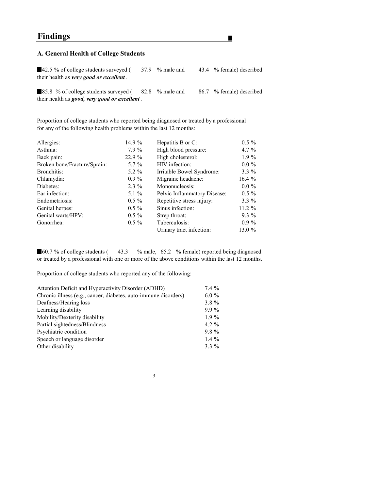## **Findings**

### **A. General Health of College Students**

42.5 % of college students surveyed (37.9 % male and 43.4 % female) described their health as *very good or excellent .*

H

85.8 % of college students surveyed (  $82.8$  % male and  $86.7$  % female) described their health as *good, very good or excellent .*

Proportion of college students who reported being diagnosed or treated by a professional for any of the following health problems within the last 12 months:

60.7 % of college students (43.3 % male, 65.2 % female) reported being diagnosed or treated by a professional with one or more of the above conditions within the last 12 months.

| Allergies:                   | 14.9 $%$ | Hepatitis B or C:                   | $0.5 \%$ |
|------------------------------|----------|-------------------------------------|----------|
| Asthma:                      | $7.9\%$  | High blood pressure:                | 4.7 $\%$ |
| Back pain:                   | 22.9 %   | High cholesterol:                   | $1.9\%$  |
| Broken bone/Fracture/Sprain: | $5.7\%$  | HIV infection:                      | $0.0\%$  |
| Bronchitis:                  | 5.2 $\%$ | Irritable Bowel Syndrome:           | $3.3\%$  |
| Chlamydia:                   | $0.9\%$  | Migraine headache:                  | 16.4 $%$ |
| Diabetes:                    | $2.3\%$  | Mononucleosis:                      | $0.0\%$  |
| Ear infection:               | 5.1 $\%$ | <b>Pelvic Inflammatory Disease:</b> | $0.5\%$  |
| Endometriosis:               | $0.5 \%$ | Repetitive stress injury:           | $3.3\%$  |
| Genital herpes:              | $0.5 \%$ | Sinus infection:                    | $11.2\%$ |
| Genital warts/HPV:           | $0.5 \%$ | Strep throat:                       | $9.3\%$  |
| Gonorrhea:                   | $0.5 \%$ | Tuberculosis:                       | $0.9\%$  |
|                              |          | Urinary tract infection:            | 13.0 %   |
|                              |          |                                     |          |

Proportion of college students who reported any of the following:

| Attention Deficit and Hyperactivity Disorder (ADHD)             | $7.4\%$  |
|-----------------------------------------------------------------|----------|
| Chronic illness (e.g., cancer, diabetes, auto-immune disorders) | $6.0\%$  |
| Deafness/Hearing loss                                           | $3.8\%$  |
| Learning disability                                             | $9.9\%$  |
| Mobility/Dexterity disability                                   | $1.9\%$  |
| Partial sightedness/Blindness                                   | 4.2 $\%$ |
| Psychiatric condition                                           | $9.8\%$  |
| Speech or language disorder                                     | 1.4 $\%$ |
| Other disability                                                | $3.3\%$  |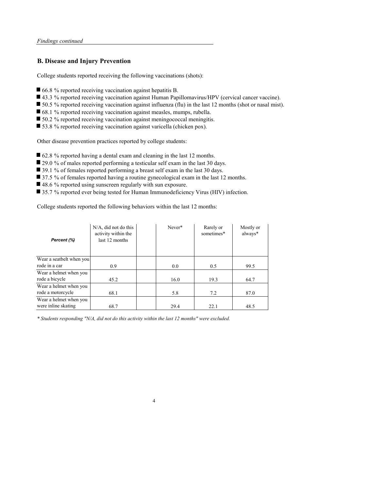#### **B. Disease and Injury Prevention**

College students reported receiving the following vaccinations (shots):

- 66.8 % reported receiving vaccination against hepatitis B.
- 43.3 % reported receiving vaccination against Human Papillomavirus/HPV (cervical cancer vaccine).
- 50.5 % reported receiving vaccination against influenza (flu) in the last 12 months (shot or nasal mist).
- 68.1 % reported receiving vaccination against measles, mumps, rubella.
- 50.2 % reported receiving vaccination against meningococcal meningitis.
- 53.8 % reported receiving vaccination against varicella (chicken pox).

Other disease prevention practices reported by college students:

- 62.8 % reported having a dental exam and cleaning in the last 12 months.
- 29.0 % of males reported performing a testicular self exam in the last 30 days.
- 39.1 % of females reported performing a breast self exam in the last 30 days.
- 37.5 % of females reported having a routine gynecological exam in the last 12 months.
- 48.6 % reported using sunscreen regularly with sun exposure.
- 35.7 % reported ever being tested for Human Immunodeficiency Virus (HIV) infection.

College students reported the following behaviors within the last 12 months:

4

*\* Students responding "N/A, did not do this activity within the last 12 months" were excluded.*

| Percent (%)              | $N/A$ , did not do this<br>activity within the<br>last 12 months | Never* | Rarely or<br>sometimes* | Mostly or<br>always* |
|--------------------------|------------------------------------------------------------------|--------|-------------------------|----------------------|
| Wear a seatbelt when you |                                                                  |        |                         |                      |
| rode in a car            | 0.9                                                              | 0.0    | 0.5                     | 99.5                 |
| Wear a helmet when you   |                                                                  |        |                         |                      |
| rode a bicycle           | 45.2                                                             | 16.0   | 19.3                    | 64.7                 |
| Wear a helmet when you   |                                                                  |        |                         |                      |
| rode a motorcycle        | 68.1                                                             | 5.8    | 7.2                     | 87.0                 |
| Wear a helmet when you   |                                                                  |        |                         |                      |
| were inline skating      | 68.7                                                             | 29.4   | 22.1                    | 48.5                 |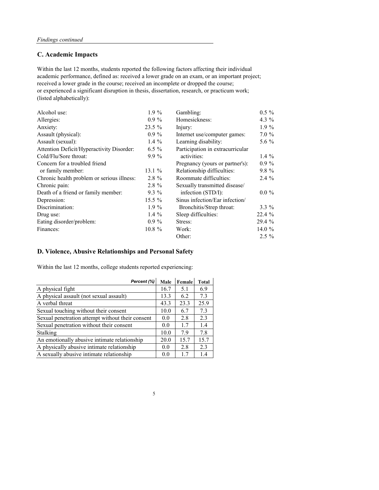### **C. Academic Impacts**

| Alcohol use:                                     | $1.9\%$   | Gambling:                        | $0.5 \%$ |
|--------------------------------------------------|-----------|----------------------------------|----------|
| Allergies:                                       | $0.9\%$   | Homesickness:                    | 4.3 $\%$ |
| Anxiety:                                         | $23.5\%$  | Injury:                          | $1.9\%$  |
| Assault (physical):                              | $0.9\%$   | Internet use/computer games:     | $7.0 \%$ |
| Assault (sexual):                                | 1.4 $%$   | Learning disability:             | 5.6 $\%$ |
| <b>Attention Deficit/Hyperactivity Disorder:</b> | $6.5\%$   | Participation in extracurricular |          |
| Cold/Flu/Sore throat:                            | $9.9\%$   | activities:                      | 1.4 $\%$ |
| Concern for a troubled friend                    |           | Pregnancy (yours or partner's):  | $0.9\%$  |
| or family member:                                | 13.1 $%$  | Relationship difficulties:       | $9.8 \%$ |
| Chronic health problem or serious illness:       | $2.8 \%$  | Roommate difficulties:           | $2.4\%$  |
| Chronic pain:                                    | $2.8 \%$  | Sexually transmitted disease/    |          |
| Death of a friend or family member:              | $9.3\%$   | infection (STD/I):               | $0.0 \%$ |
| Depression:                                      | $15.5\%$  | Sinus infection/Ear infection/   |          |
| Discrimination:                                  | $1.9\%$   | Bronchitis/Strep throat:         | $3.3\%$  |
| Drug use:                                        | 1.4 $\%$  | Sleep difficulties:              | 22.4 %   |
| Eating disorder/problem:                         | $0.9\%$   | Stress:                          | 29.4 %   |
| Finances:                                        | $10.8 \%$ | Work:                            | 14.0 $%$ |
|                                                  |           | Other:                           | $2.5\%$  |

academic performance, defined as: received a lower grade on an exam, or an important project; received a lower grade in the course; received an incomplete or dropped the course; or experienced a significant disruption in thesis, dissertation, research, or practicum work; (listed alphabetically): Within the last 12 months, students reported the following factors affecting their individual

### **D. Violence, Abusive Relationships and Personal Safety**

Within the last 12 months, college students reported experiencing:

| Percent (%)                                      | <b>Male</b> | Female | <b>Total</b> |
|--------------------------------------------------|-------------|--------|--------------|
| A physical fight                                 | 16.7        | 5.1    | 6.9          |
| A physical assault (not sexual assault)          | 13.3        | 6.2    | 7.3          |
| A verbal threat                                  | 43.3        | 23.3   | 25.9         |
| Sexual touching without their consent            | 10.0        | 6.7    | 7.3          |
| Sexual penetration attempt without their consent | 0.0         | 2.8    | 2.3          |
| Sexual penetration without their consent         |             | 1.7    | 1.4          |
| Stalking                                         |             | 7.9    | 7.8          |
| An emotionally abusive intimate relationship     |             | 15.7   | 15.7         |
| A physically abusive intimate relationship       |             | 2.8    | 2.3          |
| A sexually abusive intimate relationship         | 0.0         | 1.7    | 1.4          |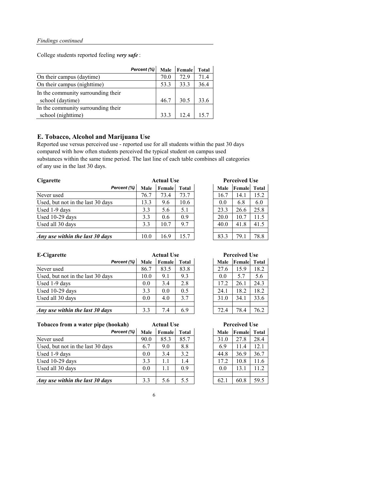College students reported feeling *very safe* :

|                                    | Percent (%) |      | Male Female | <b>Total</b> |
|------------------------------------|-------------|------|-------------|--------------|
| On their campus (daytime)          |             | 70.0 | 72.9        | 71.4         |
| On their campus (nighttime)        |             | 53.3 | 33.3        | 36.4         |
| In the community surrounding their |             |      |             |              |
| school (daytime)                   |             | 46.7 | 30.5        | 33.6         |
| In the community surrounding their |             |      |             |              |
| school (nighttime)                 |             | 33.3 | 12.4        | 15.7         |

### **E. Tobacco, Alcohol and Marijuana Use**

Reported use versus perceived use - reported use for all students within the past 30 days compared with how often students perceived the typical student on campus used substances within the same time period. The last line of each table combines all categories of any use in the last 30 days.

| <b>Cigarette</b>                  | <b>Actual Use</b> |        |              |  | <b>Perceived Use</b> |                     |      |
|-----------------------------------|-------------------|--------|--------------|--|----------------------|---------------------|------|
| Percent (%)                       | <b>Male</b>       | Female | <b>Total</b> |  | <b>Male</b>          | <b>Female</b> Total |      |
| Never used                        | 76.7              | 73.4   | 73.7         |  | 16.7                 | 14.1                | 15.2 |
| Used, but not in the last 30 days | 13.3              | 9.6    | 10.6         |  | 0.0                  | 6.8                 | 6.0  |
| Used 1-9 days                     | 3.3               | 5.6    | 5.1          |  | 23.3                 | 26.6                | 25.8 |
| Used 10-29 days                   | 3.3               | 0.6    | 0.9          |  | 20.0                 | 10.7                | 11.5 |
| Used all 30 days                  | 3.3               | 10.7   | 9.7          |  | 40.0                 | 41.8                | 41.5 |
|                                   |                   |        |              |  |                      |                     |      |
| Any use within the last 30 days   | 10.0              | 16.9   | 15.7         |  | 83.3                 | 79.1                | 78.8 |

*Male* **Female Total Perceived Use** 

| E-Cigarette                       | <b>Actual Use</b> |        |              |  | <b>Perceived Use</b> |                     |      |
|-----------------------------------|-------------------|--------|--------------|--|----------------------|---------------------|------|
| Percent (%)                       | <b>Male</b>       | Female | <b>Total</b> |  | <b>Male</b>          | <b>Female</b> Total |      |
| Never used                        | 86.7              | 83.5   | 83.8         |  | 27.6                 | 15.9                | 18.2 |
| Used, but not in the last 30 days | 10.0              | 9.1    | 9.3          |  | 0.0                  | 5.7                 | 5.6  |
| Used 1-9 days                     | 0.0               | 3.4    | 2.8          |  | 17.2                 | 26.1                | 24.3 |
| Used 10-29 days                   | 3.3               | 0.0    | 0.5          |  | 24.1                 | 18.2                | 18.2 |
| Used all 30 days                  | 0.0               | 4.0    | 3.7          |  | 31.0                 | 34.1                | 33.6 |
|                                   |                   |        |              |  |                      |                     |      |
| Any use within the last 30 days   | 3.3               | 7.4    | 6.9          |  | 72.4                 | 78.4                | 76.2 |

**Tobacco from a water pipe (hookah)**

| Percent (%)                       | <b>Male</b> | <b>Female</b> | <b>Total</b> | <b>Male</b> | <b>Female</b> | Total |
|-----------------------------------|-------------|---------------|--------------|-------------|---------------|-------|
| Never used                        | 90.0        | 85.3          | 85.7         | 31.0        | 27.8          | 28.4  |
| Used, but not in the last 30 days | 6.7         | 9.0           | 8.8          | 6.9         | 11.4          | 12.1  |
| Used 1-9 days                     | 0.0         | 3.4           | 3.2          | 44.8        | 36.9          | 36.7  |
| Used 10-29 days                   | 3.3         | $1.1\,$       | 1.4          | 17.2        | 10.8          | 11.6  |
| Used all 30 days                  | 0.0         | 1.1           | 0.9          | 0.0         | 13.1          | 11.2  |
|                                   |             |               |              |             |               |       |
| Any use within the last 30 days   | 3.3         | 5.6           | 5.5          | 62.1        | 60.8          | 59.5  |

| <b>Male</b> | Female | <b>Total</b> |
|-------------|--------|--------------|
| 31.0        | 27.8   | 28.4         |
| 6.9         | 11.4   | 12.1         |
| 44.8        | 36.9   | 36.7         |
| 17.2        | 10.8   | 11.6         |
| 0.0         | 13.1   | 11.2         |
|             |        |              |
| 62.1        | 60.8   | 59.5         |

6

| <b>Actual Use</b> |              | <b>Perceived Use</b> |        |              |  |
|-------------------|--------------|----------------------|--------|--------------|--|
| Female            | <b>Total</b> | <b>Male</b>          | Female | <b>Total</b> |  |
| 83.5              | 83.8         | 27.6                 | 15.9   | 18.2         |  |
| 9.1               | 9.3          | 0.0                  | 5.7    | 5.6          |  |
| 3.4               | 2.8          | 17.2                 | 26.1   | 24.3         |  |
| 0.0               | 0.5          | 24.1                 | 18.2   | 18.2         |  |
| 4.0               | 3.7          | 31.0                 | 34.1   | 33.6         |  |
|                   |              |                      |        |              |  |
| 7.4               | 6.9          | 72.4                 | 78.4   | 76.2         |  |

**Actual Use Perceived Use**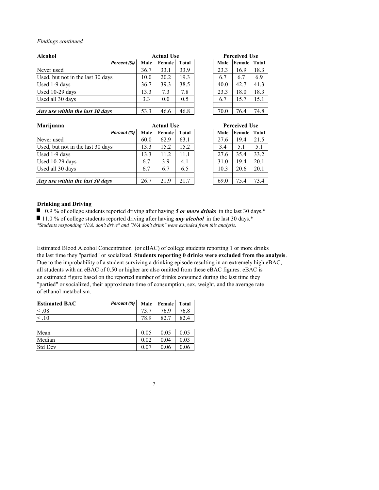| <b>Alcohol</b>                    | <b>Actual Use</b> |        |              |  | <b>Perceived Use</b> |        |       |
|-----------------------------------|-------------------|--------|--------------|--|----------------------|--------|-------|
| Percent (%)                       | <b>Male</b>       | Female | <b>Total</b> |  | <b>Male</b>          | Female | Total |
| Never used                        | 36.7              | 33.1   | 33.9         |  | 23.3                 | 16.9   | 18.3  |
| Used, but not in the last 30 days | 10.0              | 20.2   | 19.3         |  | 6.7                  | 6.7    | 6.9   |
| Used 1-9 days                     | 36.7              | 39.3   | 38.5         |  | 40.0                 | 42.7   | 41.3  |
| Used 10-29 days                   | 13.3              | 7.3    | 7.8          |  | 23.3                 | 18.0   | 18.3  |
| Used all 30 days                  | 3.3               | 0.0    | 0.5          |  | 6.7                  | 15.7   | 15.1  |
|                                   |                   |        |              |  |                      |        |       |
| Any use within the last 30 days   | 53.3              | 46.6   | 46.8         |  | 70.0                 | 76.4   | 74.8  |

| Marijuana                         | <b>Actual Use</b> |               |              |  | <b>Perceived Use</b> |                     |      |
|-----------------------------------|-------------------|---------------|--------------|--|----------------------|---------------------|------|
| Percent (%)                       | <b>Male</b>       | <b>Female</b> | <b>Total</b> |  | <b>Male</b>          | <b>Female</b> Total |      |
| Never used                        | 60.0              | 62.9          | 63.1         |  | 27.6                 | 19.4                | 21.5 |
| Used, but not in the last 30 days | 13.3              | 15.2          | 15.2         |  | 3.4                  | 5.1                 | 5.1  |
| Used 1-9 days                     | 13.3              | 11.2          | 11.1         |  | 27.6                 | 35.4                | 33.2 |
| Used 10-29 days                   | 6.7               | 3.9           | 4.1          |  | 31.0                 | 19.4                | 20.1 |
| Used all 30 days                  | 6.7               | 6.7           | 6.5          |  | 10.3                 | 20.6                | 20.1 |
|                                   |                   |               |              |  |                      |                     |      |
| Any use within the last 30 days   | 26.7              | 21.9          | 21.7         |  | 69.0                 | 75.4                | 73.4 |

#### **Drinking and Driving**

■ 0.9 % of college students reported driving after having 5 or more drinks in the last 30 days.<sup>\*</sup>

11.0 % of college students reported driving after having *any alcohol* in the last 30 days.\*

Estimated Blood Alcohol Concentration (or eBAC) of college students reporting 1 or more drinks the last time they "partied" or socialized. **Students reporting 0 drinks were excluded from the analysis**. Due to the improbability of a student surviving a drinking episode resulting in an extremely high eBAC, all students with an eBAC of 0.50 or higher are also omitted from these eBAC figures. eBAC is an estimated figure based on the reported number of drinks consumed during the last time they "partied" or socialized, their approximate time of consumption, sex, weight, and the average rate of ethanol metabolism.

| <b>Estimated BAC</b> | Percent $(\%)$ | Male Female Total |      |
|----------------------|----------------|-------------------|------|
| $\leq .08$           |                | 76.9              | 76.8 |
| $\leq 10$            |                | 82.               |      |

| Mean           | 0.05 | $0.05\,$ |
|----------------|------|----------|
| Median         | 0.04 | $0.03\,$ |
| <b>Std Dev</b> | 0.06 | $0.06\,$ |

7

*\*Students responding "N/A, don't drive" and "N/A don't drink" were excluded from this analysis.*

| <b>Actual Use</b> |              | <b>Perceived Use</b> |        |              |  |
|-------------------|--------------|----------------------|--------|--------------|--|
| Female            | <b>Total</b> | <b>Male</b>          | Female | <b>Total</b> |  |
| 62.9              | 63.1         | 27.6                 | 19.4   | 21.5         |  |
| 15.2              | 15.2         | 3.4                  | 5.1    | 5.1          |  |
| 11.2              | 11.1         | 27.6                 | 35.4   | 33.2         |  |
| 3.9               | 4.1          | 31.0                 | 19.4   | 20.1         |  |
| 6.7               | 6.5          | 10.3                 | 20.6   | 20.1         |  |
|                   |              |                      |        |              |  |
| 21.9              | 21.7         | 69.0                 | 75.4   | 73.4         |  |

| <b>Actual Use</b> |              | <b>Perceived Use</b> |             |        |              |
|-------------------|--------------|----------------------|-------------|--------|--------------|
| Female            | <b>Total</b> |                      | <b>Male</b> | Female | <b>Total</b> |
| 33.1              | 33.9         |                      | 23.3        | 16.9   | 18.3         |
| 20.2              | 19.3         |                      | 6.7         | 6.7    | 6.9          |
| 39.3              | 38.5         |                      | 40.0        | 42.7   | 41.3         |
| 7.3               | 7.8          |                      | 23.3        | 18.0   | 18.3         |
| 0.0               | 0.5          |                      | 6.7         | 15.7   | 15.1         |
|                   |              |                      |             |        |              |
| 46.6              | 46.8         |                      | 70.0        | 76.4   | 74.8         |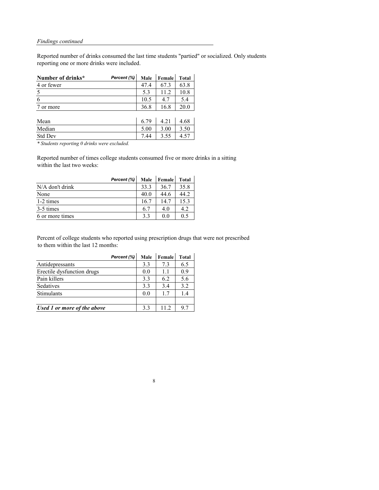Reported number of drinks consumed the last time students "partied" or socialized. Only students reporting one or more drinks were included.

| Number of drinks* | Percent (%) |      | Male   Female | <b>Total</b> |
|-------------------|-------------|------|---------------|--------------|
| 4 or fewer        |             |      | 67.3          | 63.8         |
|                   |             | 5.3  | 11.2          | 10.8         |
|                   |             | 10.5 | 47            | 5.4          |
| or more           |             | 36.8 | 16.8          |              |
|                   |             |      |               |              |

| Mean           | 70<br>6.7 | 4.21 | 4.68          |
|----------------|-----------|------|---------------|
| Median         | 5.00      | 3.00 | 3.50          |
| <b>Std Dev</b> |           | 3.55 | ᠇. <i>ၪ</i> , |

*\* Students reporting 0 drinks were excluded.*

Reported number of times college students consumed five or more drinks in a sitting within the last two weeks:

|                   | Percent (%) | <b>Male</b>    | <b>Female</b> | <b>Total</b> |
|-------------------|-------------|----------------|---------------|--------------|
| $N/A$ don't drink |             | 33.3           | 36.7          | 35.8         |
| None              |             | 40.0           | 44.6          | 44.2         |
| 1-2 times         |             | 16.7           | 14.7          | 15.3         |
| 3-5 times         |             | 6.7            | 4.0           | 4.2          |
| 6 or more times   |             | 3 <sup>3</sup> | ()()          | 0.5          |

Percent of college students who reported using prescription drugs that were not prescribed to them within the last 12 months:

|                             | Percent (%) | <b>Male</b> | Female | <b>Total</b> |
|-----------------------------|-------------|-------------|--------|--------------|
| Antidepressants             |             | 3.3         | 7.3    | 6.5          |
| Erectile dysfunction drugs  |             | 0.0         | 1.1    | 0.9          |
| Pain killers                |             | 3.3         | 6.2    | 5.6          |
| Sedatives                   |             | 3.3         | 3.4    | 3.2          |
| Stimulants                  |             | 0.0         | 1.7    | 1.4          |
|                             |             |             |        |              |
| Used 1 or more of the above |             | 3.3         | 11.2   | 9.7          |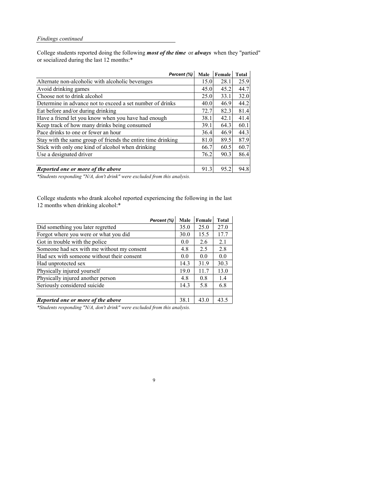College students reported doing the following *most of the time* or *always* when they "partied" or socialized during the last 12 months:\*

| Percent (%)                                                  | <b>Male</b> | Female | <b>Total</b> |
|--------------------------------------------------------------|-------------|--------|--------------|
| Alternate non-alcoholic with alcoholic beverages             | 15.0        | 28.1   | 25.9         |
| Avoid drinking games                                         | 45.0        | 45.2   | 44.7         |
| Choose not to drink alcohol                                  | 25.0        | 33.1   | 32.0         |
| Determine in advance not to exceed a set number of drinks    | 40.0        | 46.9   | 44.2         |
| Eat before and/or during drinking                            | 72.7        | 82.3   | 81.4         |
| Have a friend let you know when you have had enough          | 38.1        | 42.1   | 41.4         |
| Keep track of how many drinks being consumed                 | 39.1        | 64.3   | 60.1         |
| Pace drinks to one or fewer an hour                          | 36.4        | 46.9   | 44.3         |
| Stay with the same group of friends the entire time drinking | 81.0        | 89.5   | 87.9         |
| Stick with only one kind of alcohol when drinking            | 66.7        | 60.5   | 60.7         |
| Use a designated driver                                      | 76.2        | 90.3   | 86.4         |
|                                                              |             |        |              |
| Reported one or more of the above                            | 91.3        | 95.2   | 94.8         |

College students who drank alcohol reported experiencing the following in the last 12 months when drinking alcohol:\*

|                                            | Percent (%) | <b>Male</b> | Female | <b>Total</b> |
|--------------------------------------------|-------------|-------------|--------|--------------|
| Did something you later regretted          |             | 35.0        | 25.0   | 27.0         |
| Forgot where you were or what you did      |             | 30.0        | 15.5   | 17.7         |
| Got in trouble with the police             |             | 0.0         | 2.6    | 2.1          |
| Someone had sex with me without my consent |             | 4.8         | 2.5    | 2.8          |
| Had sex with someone without their consent |             | 0.0         | 0.0    | 0.0          |
| Had unprotected sex                        |             | 14.3        | 31.9   | 30.3         |
| Physically injured yourself                |             | 19.0        | 11.7   | 13.0         |
| Physically injured another person          |             | 4.8         | 0.8    | 1.4          |
| Seriously considered suicide               |             | 14.3        | 5.8    | 6.8          |
|                                            |             |             |        |              |
| Reported one or more of the above          |             | 38.1        | 43.0   | 43.5         |

9

*\*Students responding "N/A, don't drink" were excluded from this analysis.*

*\*Students responding "N/A, don't drink" were excluded from this analysis.*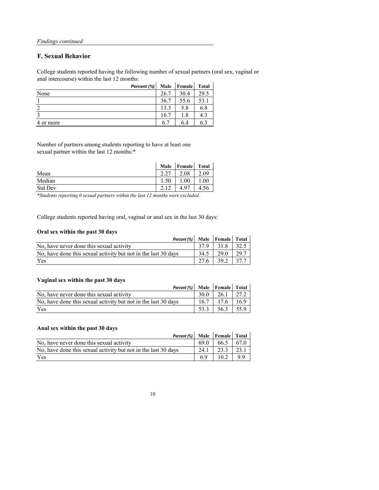College students reported having the following number of sexual partners (oral sex, vaginal or anal intercourse) within the last 12 months:  $\mathbf{r}$ 

#### **F. Sexual Behavior**

|           | Percent (%) | <b>Male</b> | Female | <b>Total</b> |
|-----------|-------------|-------------|--------|--------------|
| None      |             | 26.7        | 30.4   | 29.5         |
|           |             | 36.7        | 55.6   | 53.1         |
| $\bigcap$ |             | 13.3        | 5.8    | 6.8          |
|           |             | 16.7        | 1.8    | 4.3          |
| 4 or more |             | 6.7         | 6.4    | 6.3          |

Number of partners among students reporting to have at least one sexual partner within the last 12 months:\*

|                | Male      | <b>Female</b> | <b>Total</b> |
|----------------|-----------|---------------|--------------|
| Mean           | $\bigcap$ | $2.08\,$      | 09           |
| Median         |           | $00\,$        | $00\,$       |
| <b>Std Dev</b> | ◠         |               |              |

College students reported having oral, vaginal or anal sex in the last 30 days:

#### **Oral sex within the past 30 days**

| Percent (%)   Male   Female   Total                            |      |                      |      |
|----------------------------------------------------------------|------|----------------------|------|
| No, have never done this sexual activity                       | 37.9 | 31.8                 |      |
| No, have done this sexual activity but not in the last 30 days | 34.5 | 29.0                 | 29.7 |
| Yes                                                            |      | $27.6$   39.2   37.7 |      |

#### **Vaginal sex within the past 30 days**

| A we have been a returned the public of any $\sigma$           |      |               |  |
|----------------------------------------------------------------|------|---------------|--|
| Percent $(\%)$ Male Female Total                               |      |               |  |
| No, have never done this sexual activity                       | 30.0 | $26.1$   27.2 |  |
| No, have done this sexual activity but not in the last 30 days | 16.7 | $17.6$ 16.9   |  |
| Yes                                                            | 53.3 | $56.3$   55.9 |  |

#### **Anal sex within the past 30 days**

| Percent (%)   Male   Female   Total                            |      |      |      |
|----------------------------------------------------------------|------|------|------|
| No, have never done this sexual activity                       | 69.0 | 66.5 | 67.0 |
| No, have done this sexual activity but not in the last 30 days | 24.1 | 23.3 | 23.1 |
| Yes                                                            | 6.9  | 10.2 | 9.9  |

10

*\*Students reporting 0 sexual partners within the last 12 months were excluded.*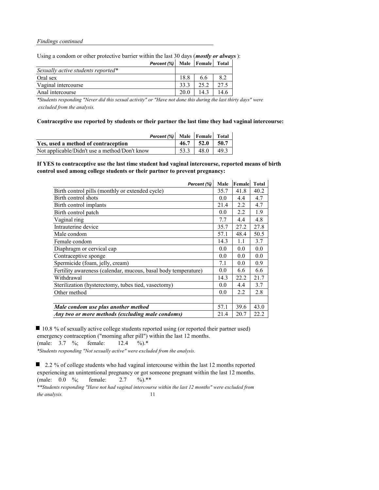Using a condom or other protective barrier within the last 30 days (*mostly or always*):

| <b>Percent (%)</b> Male Female Total |      |      |      |
|--------------------------------------|------|------|------|
| Sexually active students reported*   |      |      |      |
| Oral sex                             | 18.8 | 6.6  | 8.2  |
| Vaginal intercourse                  | 33.3 | 25.2 | 27.5 |
| Anal intercourse                     | 20.0 | 14.3 | 14.6 |

*\*Students responding "Never did this sexual activity" or "Have not done this during the last thirty days" were excluded from the analysis.*

**Contraceptive use reported by students or their partner the last time they had vaginal intercourse:**

| Percent (%) Male Female Total                 |                      |  |
|-----------------------------------------------|----------------------|--|
| Yes, used a method of contraception           | $46.7$   52.0   50.7 |  |
| Not applicable/Didn't use a method/Don't know | $53.3$   48.0   49.3 |  |

**If YES to contraceptive use the last time student had vaginal intercourse, reported means of birth control used among college students or their partner to prevent pregnancy:**

10.8 % of sexually active college students reported using (or reported their partner used) emergency contraception ("morning after pill") within the last 12 months. (male: 3.7 %; female: 12.4 %).\* *\*Students responding "Not sexually active" were excluded from the analysis.*

■ 2.2 % of college students who had vaginal intercourse within the last 12 months reported experiencing an unintentional pregnancy or got someone pregnant within the last 12 months. (male: 0.0 %; female: 2.7 %).\*\*

*\*\*Students responding "Have not had vaginal intercourse within the last 12 months" were excluded from the analysis.* 11

| Percent (%)                                                    | Male | Female | <b>Total</b> |
|----------------------------------------------------------------|------|--------|--------------|
| Birth control pills (monthly or extended cycle)                | 35.7 | 41.8   | 40.2         |
| Birth control shots                                            | 0.0  | 4.4    | 4.7          |
| Birth control implants                                         | 21.4 | 2.2    | 4.7          |
| Birth control patch                                            | 0.0  | 2.2    | 1.9          |
| Vaginal ring                                                   | 7.7  | 4.4    | 4.8          |
| Intrauterine device                                            | 35.7 | 27.2   | 27.8         |
| Male condom                                                    | 57.1 | 48.4   | 50.5         |
| Female condom                                                  | 14.3 | 1.1    | 3.7          |
| Diaphragm or cervical cap                                      | 0.0  | 0.0    | 0.0          |
| Contraceptive sponge                                           | 0.0  | 0.0    | 0.0          |
| Spermicide (foam, jelly, cream)                                | 7.1  | 0.0    | 0.9          |
| Fertility awareness (calendar, mucous, basal body temperature) | 0.0  | 6.6    | 6.6          |
| Withdrawal                                                     | 14.3 | 22.2   | 21.7         |
| Sterilization (hysterectomy, tubes tied, vasectomy)            | 0.0  | 4.4    | 3.7          |
| Other method                                                   | 0.0  | 2.2    | 2.8          |
|                                                                |      |        |              |
| Male condom use plus another method                            | 57.1 | 39.6   | 43.0         |
| Any two or more methods (excluding male condoms)               | 21.4 | 20.7   | 22.2         |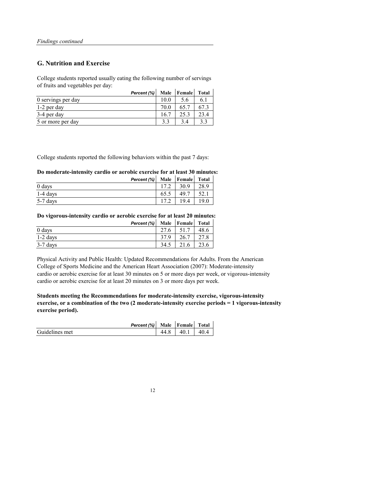#### **G. Nutrition and Exercise**

College students reported usually eating the following number of servings of fruits and vegetables per day:

|                    | Percent (%) |      | Male   Female | <b>Total</b> |
|--------------------|-------------|------|---------------|--------------|
| 0 servings per day |             | 10.0 | 5.6           |              |
| 1-2 per day        |             | 70.0 | 65.7          | 67.3         |
| 3-4 per day        |             | 16.7 | 25.3          | 23.4         |
| 5 or more per day  |             |      |               |              |

College students reported the following behaviors within the past 7 days:

#### **Do moderate-intensity cardio or aerobic exercise for at least 30 minutes:**

|            | Percent $(\%)$ |      | Male   Female | <b>Total</b> |
|------------|----------------|------|---------------|--------------|
| 0 days     |                | 17.2 | 30.9          | 28.9         |
| $1-4$ days |                | 65.5 | 49.7          |              |
| $5-7$ days |                | 17.2 | 19.4          | 19.0         |

**Do vigorous-intensity cardio or aerobic exercise for at least 20 minutes:**

|            | <b>Percent (%)</b> Male Female Total |      |      |      |
|------------|--------------------------------------|------|------|------|
| 0 days     |                                      | 27.6 | 51.7 | 48.6 |
| $1-2$ days |                                      | 37.9 | 26.7 | 27.8 |
| $3-7$ days |                                      | 34.5 | 21.6 | 23.6 |

Physical Activity and Public Health: Updated Recommendations for Adults. From the American College of Sports Medicine and the American Heart Association (2007): Moderate-intensity cardio or aerobic exercise for at least 30 minutes on 5 or more days per week, or vigorous-intensity cardio or aerobic exercise for at least 20 minutes on 3 or more days per week.

**Students meeting the Recommendations for moderate-intensity exercise, vigorous-intensity exercise, or a combination of the two (2 moderate-intensity exercise periods = 1 vigorous-intensity exercise period).**

*Percent (%)* **Male Female Total** 

| Guidelines met |  | 4∩<br>.<br>_ | ∵∪ ∙ |
|----------------|--|--------------|------|
|----------------|--|--------------|------|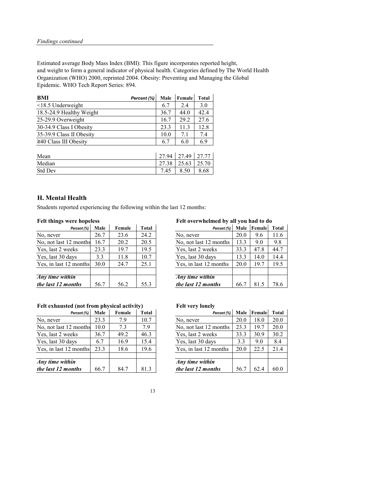Estimated average Body Mass Index (BMI): This figure incorporates reported height, and weight to form a general indicator of physical health. Categories defined by The World Health Organization (WHO) 2000, reprinted 2004. Obesity: Preventing and Managing the Global Epidemic. WHO Tech Report Series: 894.

| <b>BMI</b>                  | Percent (%) | <b>Male</b> | Female | <b>Total</b> |
|-----------------------------|-------------|-------------|--------|--------------|
| $\leq$ 18.5 Underweight     |             | 6.7         | 2.4    | 3.0          |
| 18.5-24.9 Healthy Weight    |             | 36.7        | 44.0   | 42.4         |
| 25-29.9 Overweight          |             | 16.7        | 29.2   | 27.6         |
| 30-34.9 Class I Obesity     |             | 23.3        | 11.3   | 12.8         |
| 35-39.9 Class II Obesity    |             | 10.0        | 7.1    | 7.4          |
| $\geq$ 40 Class III Obesity |             | 6.7         | 6.0    | 6.9          |
|                             |             |             |        |              |

| Mean           | 27.94       | 27.49 | 127.77 |
|----------------|-------------|-------|--------|
| Median         | つつ<br>27.38 | 25.63 | 25.70  |
| <b>Std Dev</b> |             | 8.50  | 8.68   |

#### **H. Mental Health**

Students reported experiencing the following within the last 12 months:

## **Felt things were hopeless Felt overwhelmed by all you had to do**

| Percent (%) | <b>Male</b> | Female | <b>Total</b> | Percent (%)            | <b>Male</b> | Female | <b>Total</b> |
|-------------|-------------|--------|--------------|------------------------|-------------|--------|--------------|
|             | 26.7        | 23.6   | 24.2         | No, never              | 20.0        | 9.6    | 11.6         |
| months      | 16.7        | 20.2   | 20.5         | No, not last 12 months | 13.3        | 9.0    | 9.8          |
| eks         | 23.3        | 19.7   | 19.5         | Yes, last 2 weeks      | 33.3        | 47.8   | 44.7         |
| iys         | 3.3         | 11.8   | 10.7         | Yes, last 30 days      | 13.3        | 14.0   | 14.4         |
| months      | 30.0        | 24.7   | 25.1         | Yes, in last 12 months | 20.0        | 19.7   | 19.5         |
|             |             |        |              |                        |             |        |              |
| in          |             |        |              | <b>Any</b> time within |             |        |              |
| nths        | 56.7        | 56.2   | 55.3         | the last 12 months     | 66.7        | 81.5   | 78.6         |

### Felt exhausted (not from physical activity) Felt very lonely

| Percent (%)            | <b>Male</b> | Female | <b>Total</b> | Percent (%)            | <b>Male</b> | Female | Total |
|------------------------|-------------|--------|--------------|------------------------|-------------|--------|-------|
| No, never              | 26.7        | 23.6   | 24.2         | No, never              | 20.0        | 9.6    | 11.6  |
| No, not last 12 months | 16.7        | 20.2   | 20.5         | No, not last 12 months | 13.3        | 9.0    | 9.8   |
| Yes, last 2 weeks      | 23.3        | 19.7   | 19.5         | Yes, last 2 weeks      | 33.3        | 47.8   | 44.7  |
| Yes, last 30 days      | 3.3         | 11.8   | 10.7         | Yes, last 30 days      | 13.3        | 14.0   | 14.4  |
| Yes, in last 12 months | 30.0        | 24.7   | 25.1         | Yes, in last 12 months | 20.0        | 19.7   | 19.5  |
|                        |             |        |              |                        |             |        |       |
| Any time within        |             |        |              | Any time within        |             |        |       |
| the last 12 months     | 56.7        | 56.2   | 55.3         | the last 12 months     | 66.7        | 81.5   | 78.6  |

|             |             |        | $\epsilon$   |                        |      |             |              |
|-------------|-------------|--------|--------------|------------------------|------|-------------|--------------|
| Percent (%) | <b>Male</b> | Female | <b>Total</b> | Percent (%)            |      | Male Female | <b>Total</b> |
|             | 23.3        | 7.9    | 10.7         | No, never              | 20.0 | 18.0        | 20.0         |
| 2 months    | 10.0        | 7.3    | 7.9          | No, not last 12 months | 23.3 | 19.7        | 20.0         |
| eks         | 36.7        | 49.2   | 46.3         | Yes, last 2 weeks      | 33.3 | 30.9        | 30.2         |
| ıys         | 6.7         | 16.9   | 15.4         | Yes, last 30 days      | 3.3  | 9.0         | 8.4          |
| months      | 23.3        | 18.6   | 19.6         | Yes, in last 12 months | 20.0 | 22.5        | 21.4         |
|             |             |        |              |                        |      |             |              |
| in          |             |        |              | Any time within        |      |             |              |
| $n$ ths     | 66.7        | 84.7   | 81.3         | the last 12 months     | 56.7 | 62.4        | 60.0         |

| Percent (%)            | <b>Male</b> | Female | <b>Total</b> | Percent (%)            |      | Male Female | Tota |
|------------------------|-------------|--------|--------------|------------------------|------|-------------|------|
| No, never              | 23.3        | 7.9    | 10.7         | No, never              | 20.0 | 18.0        | 20.0 |
| No, not last 12 months | 10.0        | 7.3    | 7.9          | No, not last 12 months | 23.3 | 19.7        | 20.0 |
| Yes, last 2 weeks      | 36.7        | 49.2   | 46.3         | Yes, last 2 weeks      | 33.3 | 30.9        | 30.2 |
| Yes, last 30 days      | 6.7         | 16.9   | 15.4         | Yes, last 30 days      | 3.3  | 9.0         | 8.4  |
| Yes, in last 12 months | 23.3        | 18.6   | 19.6         | Yes, in last 12 months | 20.0 | 22.5        | 21.4 |
|                        |             |        |              |                        |      |             |      |
| Any time within        |             |        |              | Any time within        |      |             |      |
| the last 12 months     | 66.7        | 84.7   | 81.3         | the last 12 months     | 56.7 | 62.4        | 60.0 |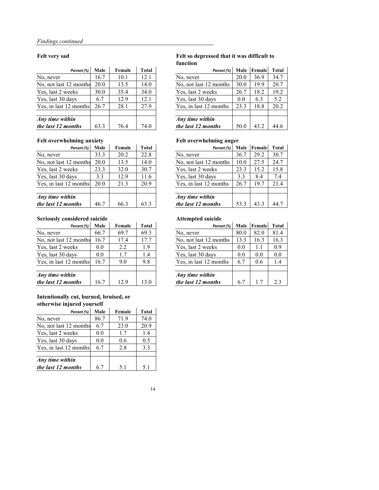#### **Felt very sad Felt so depressed that it was difficult to function**

|                          |             |        |              | тинсион                |      |             |              |
|--------------------------|-------------|--------|--------------|------------------------|------|-------------|--------------|
| Percent (%)              | <b>Male</b> | Female | <b>Total</b> | Percent (%)            |      | Male Female | <b>Total</b> |
|                          | 16.7        | 10.1   | 12.1         | No, never              | 20.0 | 36.9        | 34.7         |
| 2 months                 | 20.0        | 13.5   | 14.0         | No, not last 12 months | 30.0 | 19.9        | 20.7         |
| eks                      | 30.0        | 35.4   | 34.0         | Yes, last 2 weeks      | 26.7 | 18.2        | 19.2         |
| ıys                      | 6.7         | 12.9   | 12.1         | Yes, last 30 days      | 0.0  | 6.3         | 5.2          |
| months                   | 26.7        | 28.1   | 27.9         | Yes, in last 12 months | 23.3 | 18.8        | 20.2         |
|                          |             |        |              |                        |      |             |              |
| $\overline{\mathbf{in}}$ |             |        |              | Any time within        |      |             |              |
| nths                     | 63.3        | 76.4   | 74.0         | the last 12 months     | 50.0 | 43.2        | 44.6         |

| Percent (%)            | <b>Male</b> | Female | <b>Total</b> | Percent (%)            | <b>Male</b> | Female | Total |
|------------------------|-------------|--------|--------------|------------------------|-------------|--------|-------|
| No, never              | 16.7        | 10.1   | 12.1         | No, never              | 20.0        | 36.9   | 34.7  |
| No, not last 12 months | 20.0        | 13.5   | 14.0         | No, not last 12 months | 30.0        | 19.9   | 20.7  |
| Yes, last 2 weeks      | 30.0        | 35.4   | 34.0         | Yes, last 2 weeks      | 26.7        | 18.2   | 19.2  |
| Yes, last 30 days      | 6.7         | 12.9   | 12.1         | Yes, last 30 days      | 0.0         | 6.3    | 5.2   |
| Yes, in last 12 months | 26.7        | 28.1   | 27.9         | Yes, in last 12 months | 23.3        | 18.8   | 20.2  |
|                        |             |        |              |                        |             |        |       |
| Any time within        |             |        |              | Any time within        |             |        |       |
| the last 12 months     | 63.3        | 76.4   | 74.0         | the last 12 months     | 50.0        | 43.2   | 44.6  |

#### Felt overwhelming anxiety **Felt overwhelming anger**

| $\sigma$    | $\bullet$   |        |              | $\bullet$<br>o         |             |        |              |
|-------------|-------------|--------|--------------|------------------------|-------------|--------|--------------|
| Percent (%) | <b>Male</b> | Female | <b>Total</b> | Percent (%)            | <b>Male</b> | Female | <b>Total</b> |
|             | 33.3        | 20.2   | 22.8         | No, never              | 36.7        | 29.2   | 30.7         |
| 2 months    | 20.0        | 13.5   | 14.0         | No, not last 12 months | 10.0        | 27.5   | 24.7         |
| eks         | 23.3        | 32.0   | 30.7         | Yes, last 2 weeks      | 23.3        | 15.2   | 15.8         |
| ıys         | 3.3         | 12.9   | 11.6         | Yes, last 30 days      | 3.3         | 8.4    | 7.4          |
| months      | 20.0        | 21.3   | 20.9         | Yes, in last 12 months | 26.7        | 19.7   | 21.4         |
|             |             |        |              |                        |             |        |              |
| in          |             |        |              | Any time within        |             |        |              |
| $n$ ths     | 46.7        | 66.3   | 63.3         | the last 12 months     | 53.3        | 43.3   | 44.7         |

| Percent (%)            | <b>Male</b> | Female | <b>Total</b> | Percent (%)            | <b>Male</b> | Female | Tota |
|------------------------|-------------|--------|--------------|------------------------|-------------|--------|------|
| No, never              | 33.3        | 20.2   | 22.8         | No, never              | 36.7        | 29.2   | 30.7 |
| No, not last 12 months | 20.0        | 13.5   | 14.0         | No, not last 12 months | 10.0        | 27.5   | 24.7 |
| Yes, last 2 weeks      | 23.3        | 32.0   | 30.7         | Yes, last 2 weeks      | 23.3        | 15.2   | 15.8 |
| Yes, last 30 days      | 3.3         | 12.9   | 11.6         | Yes, last 30 days      | 3.3         | 8.4    | 7.4  |
| Yes, in last 12 months | 20.0        | 21.3   | 20.9         | Yes, in last 12 months | 26.7        | 19.7   | 21.4 |
| Any time within        |             |        |              | Any time within        |             |        |      |
| the last 12 months     | 46.7        | 66.3   | 63.3         | the last 12 months     | 53.3        | 43.3   | 44.7 |

#### **Seriously considered suicide Attempted suicide**

| Percent (%) <sup> </sup> | <b>Male</b> | Female | <b>Total</b> | Percent (%)            | <b>Male</b> | Female | <b>Total</b> |
|--------------------------|-------------|--------|--------------|------------------------|-------------|--------|--------------|
|                          | 66.7        | 69.7   | 69.3         | No, never              | 80.0        | 82.0   | 81.4         |
| months                   | 16.7        | 17.4   | 17.7         | No, not last 12 months | 13.3        | 16.3   | 16.3         |
| eks                      | 0.0         | 2.2    | 1.9          | Yes, last 2 weeks      | 0.0         | 1.1    | 0.9          |
| ıys                      | 0.0         | 1.7    | 1.4          | Yes, last 30 days      | 0.0         | 0.0    | 0.0          |
| months                   | 16.7        | 9.0    | 9.8          | Yes, in last 12 months | 6.7         | 0.6    | 1.4          |
|                          |             |        |              |                        |             |        |              |
| in                       |             |        |              | Any time within        |             |        |              |
| $n$ ths                  | 16.7        | 12.9   | 13.0         | the last 12 months     | 6.7         | 1.7    | 2.3          |

| Percent (%)            | <b>Male</b> | Female | <b>Total</b> | Percent (%)            | <b>Male</b> | Female | Tota |
|------------------------|-------------|--------|--------------|------------------------|-------------|--------|------|
| No, never              | 66.7        | 69.7   | 69.3         | No, never              | 80.0        | 82.0   | 81.4 |
| No, not last 12 months | 16.7        | 17.4   | 17.7         | No, not last 12 months | 13.3        | 16.3   | 16.3 |
| Yes, last 2 weeks      | 0.0         | 2.2    | 1.9          | Yes, last 2 weeks      | 0.0         | 1.1    | 0.9  |
| Yes, last 30 days      | 0.0         | 1.7    | 1.4          | Yes, last 30 days      | 0.0         | 0.0    | 0.0  |
| Yes, in last 12 months | 16.7        | 9.0    | 9.8          | Yes, in last 12 months | 6.7         | 0.6    | 1.4  |
| Any time within        |             |        |              | Any time within        |             |        |      |
| the last 12 months     | 16.7        | 12.9   | 13.0         | the last 12 months     | 6.7         | 1.7    | 2.3  |

#### **Intentionally cut, burned, bruised, or otherwise injured yourself**

| Percent (%)            | <b>Male</b> | Female | <b>Total</b> |
|------------------------|-------------|--------|--------------|
| No, never              | 86.7        | 71.9   | 74.0         |
| No, not last 12 months | 6.7         | 23.0   | 20.9         |
| Yes, last 2 weeks      | 0.0         | 1.7    | 1.4          |
| Yes, last 30 days      | 0.0         | 0.6    | 0.5          |
| Yes, in last 12 months | 6.7         | 2.8    | 3.3          |
|                        |             |        |              |
| Any time within        |             |        |              |
| the last 12 months     | 6.7         | 5.1    | 5.1          |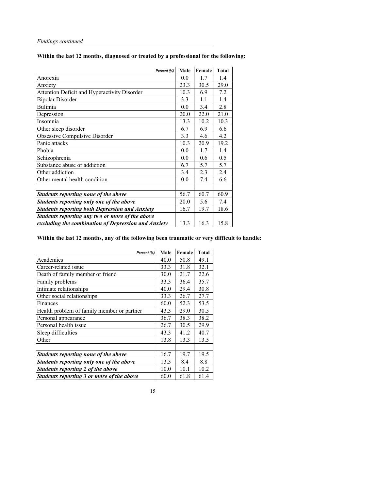**Within the last 12 months, diagnosed or treated by a professional for the following:** 

| Percent (%)                                           | <b>Male</b> | Female | <b>Total</b> |
|-------------------------------------------------------|-------------|--------|--------------|
| Anorexia                                              | 0.0         | 1.7    | 1.4          |
| Anxiety                                               | 23.3        | 30.5   | 29.0         |
| <b>Attention Deficit and Hyperactivity Disorder</b>   | 10.3        | 6.9    | 7.2          |
| <b>Bipolar Disorder</b>                               | 3.3         | 1.1    | 1.4          |
| <b>Bulimia</b>                                        | 0.0         | 3.4    | 2.8          |
| Depression                                            | 20.0        | 22.0   | 21.0         |
| Insomnia                                              | 13.3        | 10.2   | 10.3         |
| Other sleep disorder                                  | 6.7         | 6.9    | 6.6          |
| <b>Obsessive Compulsive Disorder</b>                  | 3.3         | 4.6    | 4.2          |
| Panic attacks                                         | 10.3        | 20.9   | 19.2         |
| Phobia                                                | 0.0         | 1.7    | 1.4          |
| Schizophrenia                                         | 0.0         | 0.6    | 0.5          |
| Substance abuse or addiction                          | 6.7         | 5.7    | 5.7          |
| Other addiction                                       | 3.4         | 2.3    | 2.4          |
| Other mental health condition                         | 0.0         | 7.4    | 6.6          |
|                                                       |             |        |              |
| <b>Students reporting none of the above</b>           | 56.7        | 60.7   | 60.9         |
| Students reporting only one of the above              | 20.0        | 5.6    | 7.4          |
| <b>Students reporting both Depression and Anxiety</b> | 16.7        | 19.7   | 18.6         |
| Students reporting any two or more of the above       |             |        |              |
| excluding the combination of Depression and Anxiety   | 13.3        | 16.3   | 15.8         |

### **Within the last 12 months, any of the following been traumatic or very difficult to handle:**

| Percent (%)                                 | <b>Male</b> | Female | <b>Total</b> |
|---------------------------------------------|-------------|--------|--------------|
| Academics                                   | 40.0        | 50.8   | 49.1         |
| Career-related issue                        | 33.3        | 31.8   | 32.1         |
| Death of family member or friend            | 30.0        | 21.7   | 22.6         |
| Family problems                             | 33.3        | 36.4   | 35.7         |
| Intimate relationships                      | 40.0        | 29.4   | 30.8         |
| Other social relationships                  | 33.3        | 26.7   | 27.7         |
| Finances                                    | 60.0        | 52.3   | 53.5         |
| Health problem of family member or partner  | 43.3        | 29.0   | 30.5         |
| Personal appearance                         | 36.7        | 38.3   | 38.2         |
| Personal health issue                       | 26.7        | 30.5   | 29.9         |
| Sleep difficulties                          | 43.3        | 41.2   | 40.7         |
| Other                                       | 13.8        | 13.3   | 13.5         |
|                                             |             |        |              |
| <b>Students reporting none of the above</b> | 16.7        | 19.7   | 19.5         |
| Students reporting only one of the above    | 13.3        | 8.4    | 8.8          |
| Students reporting 2 of the above           | 10.0        | 10.1   | 10.2         |
| Students reporting 3 or more of the above   | 60.0        | 61.8   | 61.4         |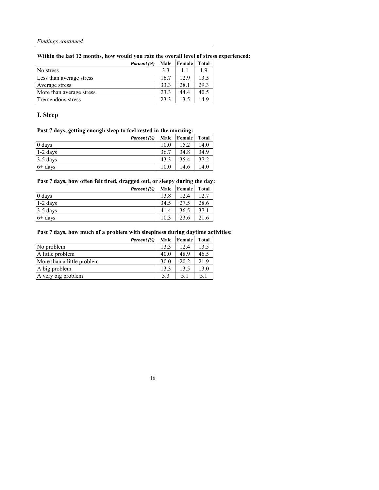**Within the last 12 months, how would you rate the overall level of stress experienced:**

|                          | Percent (%) | <b>Male</b> | <b>Female</b> | <b>Total</b> |
|--------------------------|-------------|-------------|---------------|--------------|
| No stress                |             | 3.3         |               | 1.9          |
| Less than average stress |             | 16.7        | 12.9          | 13.5         |
| Average stress           |             | 33.3        | 28.1          | 29.3         |
| More than average stress |             | 23.3        | 44.4          | 40.5         |
| Tremendous stress        |             | 23.3        | 13.5          | 14.9         |

### **I. Sleep**

### **Past 7 days, getting enough sleep to feel rested in the morning:**

| Percent (%) | <b>Male</b> | <b>Female</b> | <b>Total</b> |
|-------------|-------------|---------------|--------------|
| 0 days      | 10.0        | 15.2          | 14.0         |
| $1-2$ days  | 36.7        | 34.8          | 34.9         |
| 3-5 days    | 43.3        | 35.4          | 37.2         |
| $6+$ days   | 10.0        | 14.6          | 14.0         |

#### **Past 7 days, how often felt tired, dragged out, or sleepy during the day:**

|            | Percent $(\% )$ | <b>Male</b> | <b>Female</b> | <b>Total</b> |
|------------|-----------------|-------------|---------------|--------------|
| 0 days     |                 | 13.8        | 12.4          | 12.7         |
| $1-2$ days |                 | 34.5        | 27.5          | 28.6         |
| $3-5$ days |                 | 41.4        | 36.5          | 37.1         |
| $6+$ days  |                 | 10.3        | 23.6          | 21.6         |

#### **Past 7 days, how much of a problem with sleepiness during daytime activities:**

|                            | Percent (%) | <b>Male</b> | <b>Female</b> | <b>Total</b> |
|----------------------------|-------------|-------------|---------------|--------------|
| No problem                 |             | 13.3        | 12.4          | 13.5         |
| A little problem           |             | 40.0        | 48.9          | 46.5         |
| More than a little problem |             | 30.0        | 20.2          | 21.9         |
| A big problem              |             | 13.3        | 13.5          | 13.0         |
| A very big problem         |             | 3.3         | 5.1           | 5.1          |